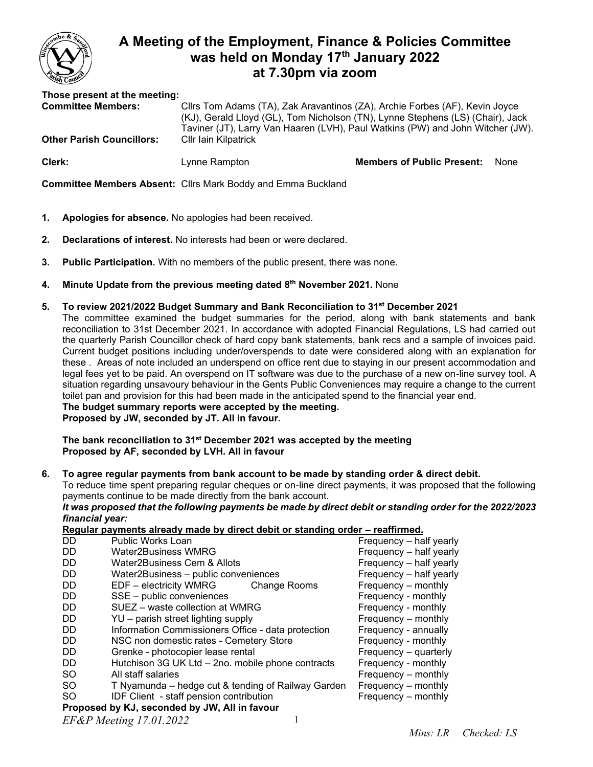

# **A Meeting of the Employment, Finance & Policies Committee was held on Monday 17 th January 2022 at 7.30pm via zoom**

**Those present at the meeting:** Cllrs Tom Adams (TA), Zak Aravantinos (ZA), Archie Forbes (AF), Kevin Joyce

**Other Parish Councillors:** Cllr Iain Kilpatrick

(KJ), Gerald Lloyd (GL), Tom Nicholson (TN), Lynne Stephens (LS) (Chair), Jack Taviner (JT), Larry Van Haaren (LVH), Paul Watkins (PW) and John Witcher (JW).

**Clerk:** Lynne Rampton **Members of Public Present:** None

**Committee Members Absent:** Cllrs Mark Boddy and Emma Buckland

- **1. Apologies for absence.** No apologies had been received.
- **2. Declarations of interest.** No interests had been or were declared.
- **3. Public Participation.** With no members of the public present, there was none.
- **4. Minute Update from the previous meeting dated 8 th November 2021.** None
- **5. To review 2021/2022 Budget Summary and Bank Reconciliation to 31st December 2021** The committee examined the budget summaries for the period, along with bank statements and bank reconciliation to 31st December 2021. In accordance with adopted Financial Regulations, LS had carried out the quarterly Parish Councillor check of hard copy bank statements, bank recs and a sample of invoices paid. Current budget positions including under/overspends to date were considered along with an explanation for these . Areas of note included an underspend on office rent due to staying in our present accommodation and legal fees yet to be paid. An overspend on IT software was due to the purchase of a new on-line survey tool. A situation regarding unsavoury behaviour in the Gents Public Conveniences may require a change to the current toilet pan and provision for this had been made in the anticipated spend to the financial year end. **The budget summary reports were accepted by the meeting. Proposed by JW, seconded by JT. All in favour.**

**The bank reconciliation to 31st December 2021 was accepted by the meeting Proposed by AF, seconded by LVH. All in favour**

**6. To agree regular payments from bank account to be made by standing order & direct debit.**

To reduce time spent preparing regular cheques or on-line direct payments, it was proposed that the following payments continue to be made directly from the bank account.

*It was proposed that the following payments be made by direct debit or standing order for the 2022/2023 financial year:*

**Regular payments already made by direct debit or standing order – reaffirmed.**

| DD.                                           | <b>Public Works Loan</b>                           | Frequency - half yearly |
|-----------------------------------------------|----------------------------------------------------|-------------------------|
| DD.                                           | <b>Water2Business WMRG</b>                         | Frequency - half yearly |
| DD.                                           | Water2Business Cem & Allots                        | Frequency - half yearly |
| DD.                                           | Water2Business - public conveniences               | Frequency - half yearly |
| DD.                                           | EDF – electricity WMRG<br>Change Rooms             | Frequency – monthly     |
| DD.                                           | SSE - public conveniences                          | Frequency - monthly     |
| DD.                                           | SUEZ – waste collection at WMRG                    | Frequency - monthly     |
| DD.                                           | YU – parish street lighting supply                 | Frequency – monthly     |
| DD.                                           | Information Commissioners Office - data protection | Frequency - annually    |
| DD.                                           | NSC non domestic rates - Cemetery Store            | Frequency - monthly     |
| DD.                                           | Grenke - photocopier lease rental                  | Frequency - quarterly   |
| DD.                                           | Hutchison 3G UK Ltd - 2no. mobile phone contracts  | Frequency - monthly     |
| <b>SO</b>                                     | All staff salaries                                 | Frequency – monthly     |
| SO.                                           | T Nyamunda – hedge cut & tending of Railway Garden | Frequency - monthly     |
| SO.                                           | IDF Client - staff pension contribution            | Frequency – monthly     |
| Proposed by KJ, seconded by JW, All in favour |                                                    |                         |
| FF&P Mooting 17 01 2022                       |                                                    |                         |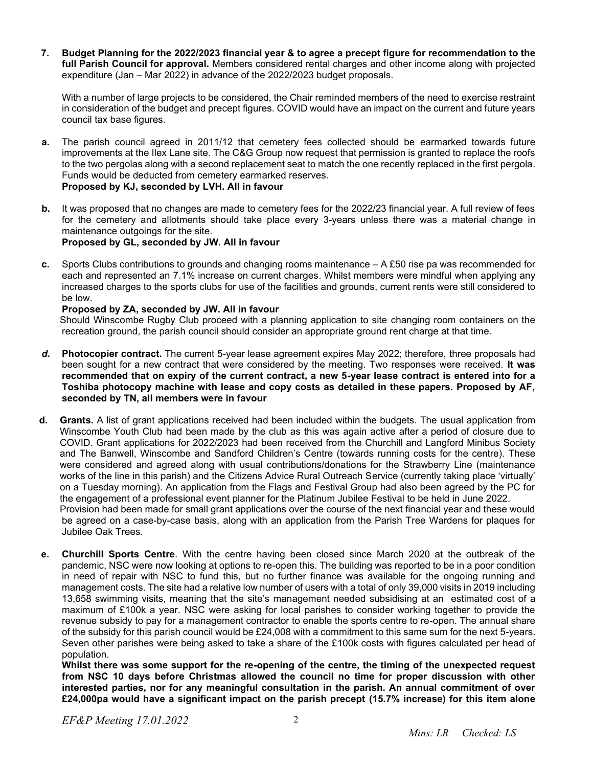**7. Budget Planning for the 2022/2023 financial year & to agree a precept figure for recommendation to the full Parish Council for approval.** Members considered rental charges and other income along with projected expenditure (Jan – Mar 2022) in advance of the 2022/2023 budget proposals.

With a number of large projects to be considered, the Chair reminded members of the need to exercise restraint in consideration of the budget and precept figures. COVID would have an impact on the current and future years council tax base figures.

- **a.** The parish council agreed in 2011/12 that cemetery fees collected should be earmarked towards future improvements at the Ilex Lane site. The C&G Group now request that permission is granted to replace the roofs to the two pergolas along with a second replacement seat to match the one recently replaced in the first pergola. Funds would be deducted from cemetery earmarked reserves. **Proposed by KJ, seconded by LVH. All in favour**
- **b.** It was proposed that no changes are made to cemetery fees for the 2022/23 financial year. A full review of fees for the cemetery and allotments should take place every 3-years unless there was a material change in maintenance outgoings for the site. **Proposed by GL, seconded by JW. All in favour**
- **c.** Sports Clubs contributions to grounds and changing rooms maintenance A £50 rise pa was recommended for each and represented an 7.1% increase on current charges. Whilst members were mindful when applying any increased charges to the sports clubs for use of the facilities and grounds, current rents were still considered to be low.

## **Proposed by ZA, seconded by JW. All in favour**

Should Winscombe Rugby Club proceed with a planning application to site changing room containers on the recreation ground, the parish council should consider an appropriate ground rent charge at that time.

- *d.* **Photocopier contract.** The current 5-year lease agreement expires May 2022; therefore, three proposals had been sought for a new contract that were considered by the meeting. Two responses were received. **It was recommended that on expiry of the current contract, a new 5-year lease contract is entered into for a Toshiba photocopy machine with lease and copy costs as detailed in these papers. Proposed by AF, seconded by TN, all members were in favour**
- **d. Grants***.* A list of grant applications received had been included within the budgets. The usual application from Winscombe Youth Club had been made by the club as this was again active after a period of closure due to COVID. Grant applications for 2022/2023 had been received from the Churchill and Langford Minibus Society and The Banwell, Winscombe and Sandford Children's Centre (towards running costs for the centre). These were considered and agreed along with usual contributions/donations for the Strawberry Line (maintenance works of the line in this parish) and the Citizens Advice Rural Outreach Service (currently taking place 'virtually' on a Tuesday morning). An application from the Flags and Festival Group had also been agreed by the PC for the engagement of a professional event planner for the Platinum Jubilee Festival to be held in June 2022. Provision had been made for small grant applications over the course of the next financial year and these would be agreed on a case-by-case basis, along with an application from the Parish Tree Wardens for plaques for Jubilee Oak Trees.
- **e. Churchill Sports Centre**. With the centre having been closed since March 2020 at the outbreak of the pandemic, NSC were now looking at options to re-open this. The building was reported to be in a poor condition in need of repair with NSC to fund this, but no further finance was available for the ongoing running and management costs. The site had a relative low number of users with a total of only 39,000 visits in 2019 including 13,658 swimming visits, meaning that the site's management needed subsidising at an estimated cost of a maximum of £100k a year. NSC were asking for local parishes to consider working together to provide the revenue subsidy to pay for a management contractor to enable the sports centre to re-open. The annual share of the subsidy for this parish council would be £24,008 with a commitment to this same sum for the next 5-years. Seven other parishes were being asked to take a share of the £100k costs with figures calculated per head of population.

**Whilst there was some support for the re-opening of the centre, the timing of the unexpected request from NSC 10 days before Christmas allowed the council no time for proper discussion with other interested parties, nor for any meaningful consultation in the parish. An annual commitment of over £24,000pa would have a significant impact on the parish precept (15.7% increase) for this item alone**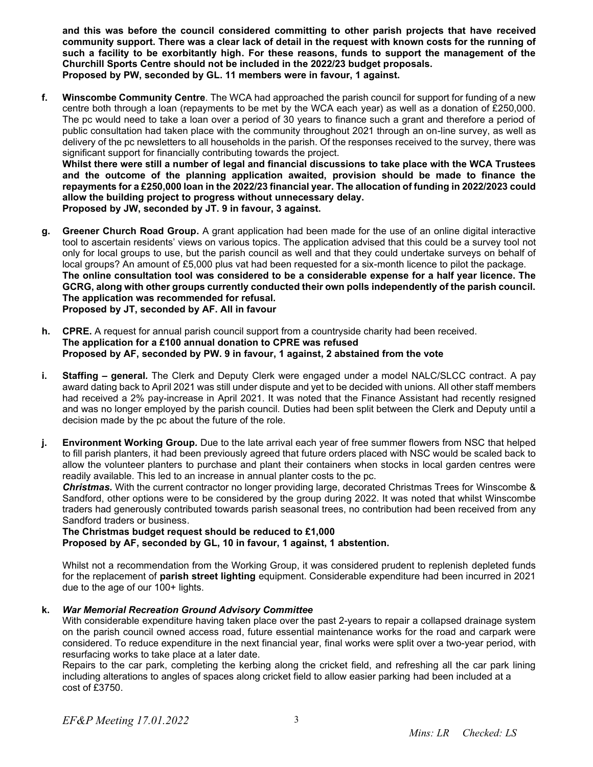**and this was before the council considered committing to other parish projects that have received community support. There was a clear lack of detail in the request with known costs for the running of such a facility to be exorbitantly high. For these reasons, funds to support the management of the Churchill Sports Centre should not be included in the 2022/23 budget proposals. Proposed by PW, seconded by GL. 11 members were in favour, 1 against.**

**f. Winscombe Community Centre**. The WCA had approached the parish council for support for funding of a new centre both through a loan (repayments to be met by the WCA each year) as well as a donation of £250,000. The pc would need to take a loan over a period of 30 years to finance such a grant and therefore a period of public consultation had taken place with the community throughout 2021 through an on-line survey, as well as delivery of the pc newsletters to all households in the parish. Of the responses received to the survey, there was significant support for financially contributing towards the project.

**Whilst there were still a number of legal and financial discussions to take place with the WCA Trustees and the outcome of the planning application awaited, provision should be made to finance the repayments for a £250,000 loan in the 2022/23 financial year. The allocation of funding in 2022/2023 could allow the building project to progress without unnecessary delay. Proposed by JW, seconded by JT. 9 in favour, 3 against.**

- **g. Greener Church Road Group.** A grant application had been made for the use of an online digital interactive tool to ascertain residents' views on various topics. The application advised that this could be a survey tool not only for local groups to use, but the parish council as well and that they could undertake surveys on behalf of local groups? An amount of £5,000 plus vat had been requested for a six-month licence to pilot the package. **The online consultation tool was considered to be a considerable expense for a half year licence. The GCRG, along with other groups currently conducted their own polls independently of the parish council. The application was recommended for refusal. Proposed by JT, seconded by AF. All in favour**
- **h. CPRE.** A request for annual parish council support from a countryside charity had been received. **The application for a £100 annual donation to CPRE was refused Proposed by AF, seconded by PW. 9 in favour, 1 against, 2 abstained from the vote**
- **i. Staffing – general***.* The Clerk and Deputy Clerk were engaged under a model NALC/SLCC contract. A pay award dating back to April 2021 was still under dispute and yet to be decided with unions. All other staff members had received a 2% pay-increase in April 2021. It was noted that the Finance Assistant had recently resigned and was no longer employed by the parish council. Duties had been split between the Clerk and Deputy until a decision made by the pc about the future of the role.
- **j. Environment Working Group***.* Due to the late arrival each year of free summer flowers from NSC that helped to fill parish planters, it had been previously agreed that future orders placed with NSC would be scaled back to allow the volunteer planters to purchase and plant their containers when stocks in local garden centres were readily available. This led to an increase in annual planter costs to the pc.

*Christmas.* With the current contractor no longer providing large, decorated Christmas Trees for Winscombe & Sandford, other options were to be considered by the group during 2022. It was noted that whilst Winscombe traders had generously contributed towards parish seasonal trees, no contribution had been received from any Sandford traders or business.

**The Christmas budget request should be reduced to £1,000 Proposed by AF, seconded by GL, 10 in favour, 1 against, 1 abstention.**

Whilst not a recommendation from the Working Group, it was considered prudent to replenish depleted funds for the replacement of **parish street lighting** equipment. Considerable expenditure had been incurred in 2021 due to the age of our 100+ lights.

## **k.** *War Memorial Recreation Ground Advisory Committee*

With considerable expenditure having taken place over the past 2-years to repair a collapsed drainage system on the parish council owned access road, future essential maintenance works for the road and carpark were considered. To reduce expenditure in the next financial year, final works were split over a two-year period, with resurfacing works to take place at a later date.

Repairs to the car park, completing the kerbing along the cricket field, and refreshing all the car park lining including alterations to angles of spaces along cricket field to allow easier parking had been included at a cost of £3750.